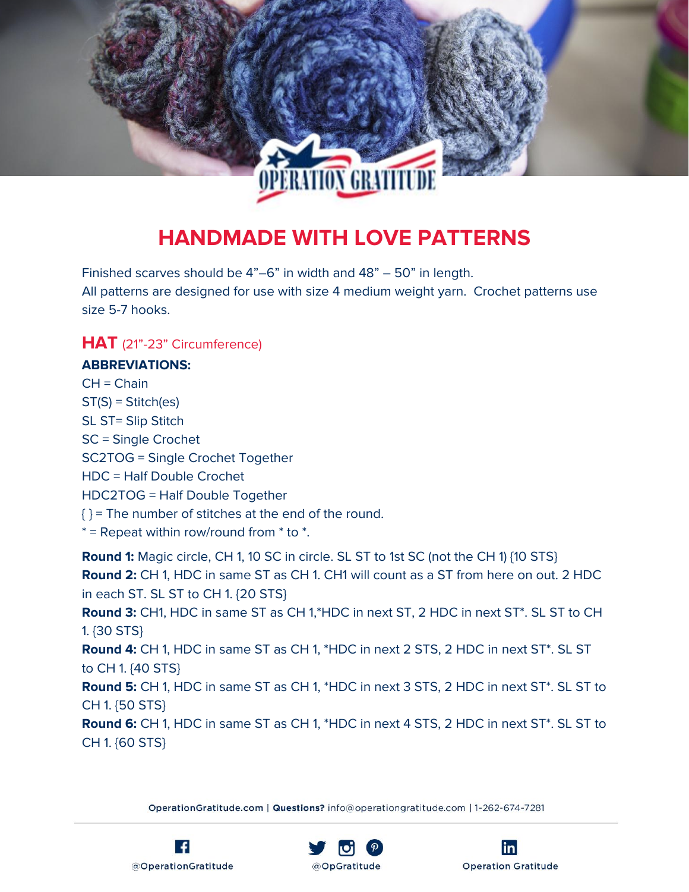

# **HANDMADE WITH LOVE PATTERNS**

Finished scarves should be 4"–6" in width and 48" – 50" in length. All patterns are designed for use with size 4 medium weight yarn. Crochet patterns use size 5-7 hooks.

# **HAT** (21"-23" Circumference)

#### **ABBREVIATIONS:**

 $CH = Chain$ ST(S) = Stitch(es) SL ST= Slip Stitch SC = Single Crochet SC2TOG = Single Crochet Together HDC = Half Double Crochet HDC2TOG = Half Double Together  $\{\}$  = The number of stitches at the end of the round.  $*$  = Repeat within row/round from  $*$  to  $*$ .

**Round 1:** Magic circle, CH 1, 10 SC in circle. SL ST to 1st SC (not the CH 1) {10 STS} **Round 2:** CH 1, HDC in same ST as CH 1. CH1 will count as a ST from here on out. 2 HDC in each ST. SL ST to CH 1. {20 STS} **Round 3:** CH1, HDC in same ST as CH 1,\*HDC in next ST, 2 HDC in next ST\*. SL ST to CH 1. {30 STS} **Round 4:** CH 1, HDC in same ST as CH 1, \*HDC in next 2 STS, 2 HDC in next ST\*. SL ST to CH 1. {40 STS} **Round 5:** CH 1, HDC in same ST as CH 1, \*HDC in next 3 STS, 2 HDC in next ST\*. SL ST to CH 1. {50 STS} **Round 6:** CH 1, HDC in same ST as CH 1, \*HDC in next 4 STS, 2 HDC in next ST\*. SL ST to CH 1. {60 STS}





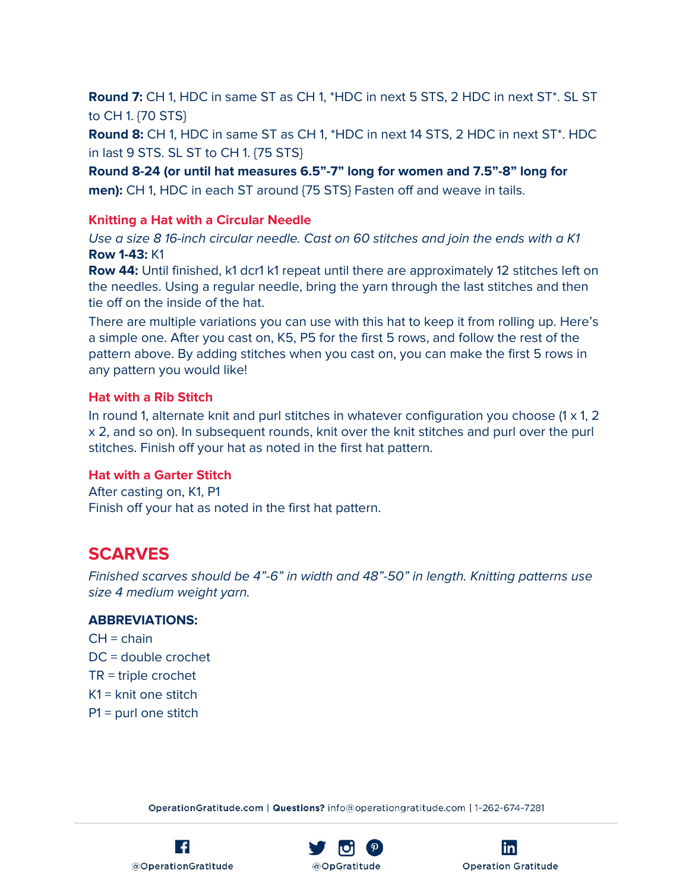**Round 7:** CH 1, HDC in same ST as CH 1, \*HDC in next 5 STS, 2 HDC in next ST\*. SL ST to CH 1. {70 STS}

**Round 8:** CH 1, HDC in same ST as CH 1, \*HDC in next 14 STS, 2 HDC in next ST\*. HDC in last 9 STS. SL ST to CH 1. {75 STS}

**Round 8-24 (or until hat measures 6.5"-7" long for women and 7.5"-8" long for men):** CH 1, HDC in each ST around {75 STS} Fasten off and weave in tails.

#### **Knitting a Hat with a Circular Needle**

Use a size 8 16-inch circular needle. Cast on 60 stitches and join the ends with a K1 **Row 1-43:** K1

**Row 44:** Until finished, k1 dcr1 k1 repeat until there are approximately 12 stitches left on the needles. Using a regular needle, bring the yarn through the last stitches and then tie off on the inside of the hat.

There are multiple variations you can use with this hat to keep it from rolling up. Here's a simple one. After you cast on, K5, P5 for the first 5 rows, and follow the rest of the pattern above. By adding stitches when you cast on, you can make the first 5 rows in any pattern you would like!

#### **Hat with a Rib Stitch**

In round 1, alternate knit and purl stitches in whatever configuration you choose  $(1 \times 1, 2)$ x 2, and so on). In subsequent rounds, knit over the knit stitches and purl over the purl stitches. Finish off your hat as noted in the first hat pattern.

#### **Hat with a Garter Stitch**

After casting on, K1, P1 Finish off your hat as noted in the first hat pattern.

# **SCARVES**

Finished scarves should be 4"-6" in width and 48"-50" in length. Knitting patterns use size 4 medium weight yarn.

#### **ABBREVIATIONS:**

 $CH = chain$ DC = double crochet TR = triple crochet K1 = knit one stitch P1 = purl one stitch





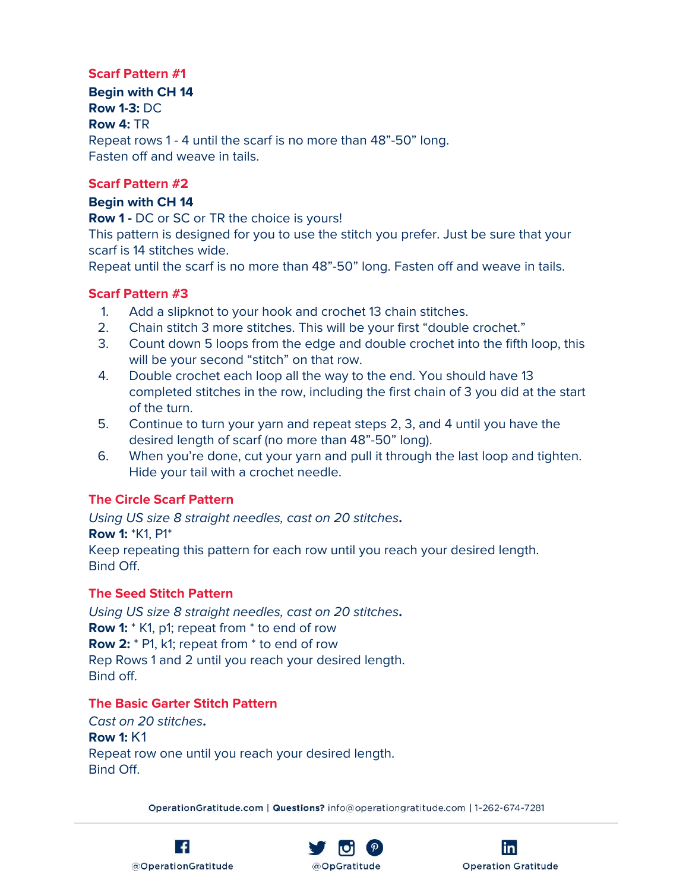#### **Scarf Pattern #1**

**Begin with CH 14 Row 1-3:** DC **Row 4:** TR Repeat rows 1 - 4 until the scarf is no more than 48"-50" long. Fasten off and weave in tails.

#### **Scarf Pattern #2**

#### **Begin with CH 14**

**Row 1 -** DC or SC or TR the choice is yours!

This pattern is designed for you to use the stitch you prefer. Just be sure that your scarf is 14 stitches wide.

Repeat until the scarf is no more than 48"-50" long. Fasten off and weave in tails.

#### **Scarf Pattern #3**

- 1. Add a slipknot to your hook and crochet 13 chain stitches.
- 2. Chain stitch 3 more stitches. This will be your first "double crochet."
- 3. Count down 5 loops from the edge and double crochet into the fifth loop, this will be your second "stitch" on that row.
- 4. Double crochet each loop all the way to the end. You should have 13 completed stitches in the row, including the first chain of 3 you did at the start of the turn.
- 5. Continue to turn your yarn and repeat steps 2, 3, and 4 until you have the desired length of scarf (no more than 48"-50" long).
- 6. When you're done, cut your yarn and pull it through the last loop and tighten. Hide your tail with a crochet needle.

# **The Circle Scarf Pattern**

Using US size 8 straight needles, cast on 20 stitches**.**

**Row 1:** \*K1, P1\*

Keep repeating this pattern for each row until you reach your desired length. Bind Off.

# **The Seed Stitch Pattern**

Using US size 8 straight needles, cast on 20 stitches**. Row 1:**  $*$  K1, p1; repeat from  $*$  to end of row **Row 2:** \* P1, k1; repeat from \* to end of row Rep Rows 1 and 2 until you reach your desired length. Bind off.

# **The Basic Garter Stitch Pattern**

Cast on 20 stitches**. Row 1:** K1 Repeat row one until you reach your desired length. Bind Off.